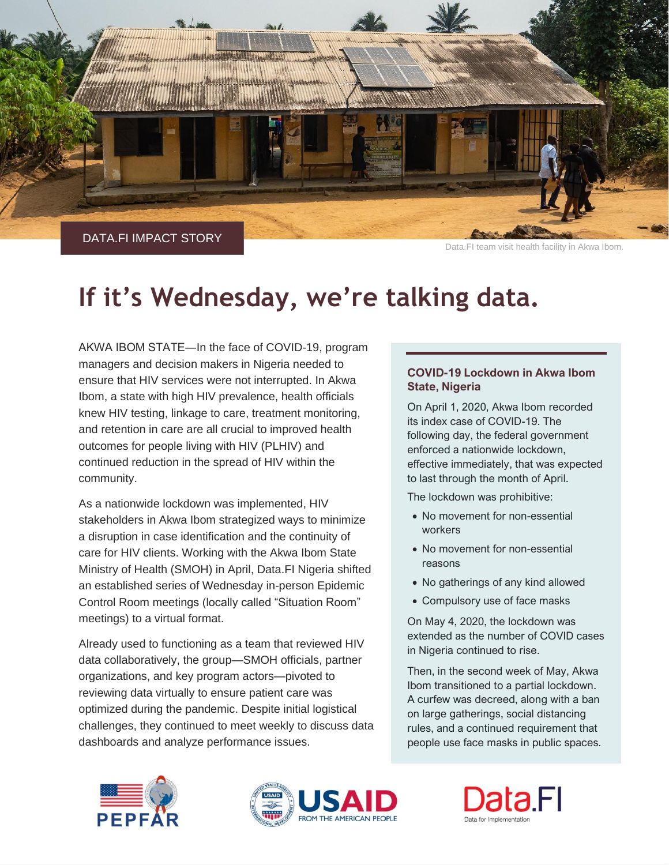

Data.FI team visit health facility in Akwa Ibom.

# **If it's Wednesday, we're talking data.**

AKWA IBOM STATE―In the face of COVID-19, program managers and decision makers in Nigeria needed to ensure that HIV services were not interrupted. In Akwa Ibom, a state with high HIV prevalence, health officials knew HIV testing, linkage to care, treatment monitoring, and retention in care are all crucial to improved health outcomes for people living with HIV (PLHIV) and continued reduction in the spread of HIV within the community.

As a nationwide lockdown was implemented, HIV stakeholders in Akwa Ibom strategized ways to minimize a disruption in case identification and the continuity of care for HIV clients. Working with the Akwa Ibom State Ministry of Health (SMOH) in April, Data.FI Nigeria shifted an established series of Wednesday in-person Epidemic Control Room meetings (locally called "Situation Room" meetings) to a virtual format.

Already used to functioning as a team that reviewed HIV data collaboratively, the group—SMOH officials, partner organizations, and key program actors—pivoted to reviewing data virtually to ensure patient care was optimized during the pandemic. Despite initial logistical challenges, they continued to meet weekly to discuss data dashboards and analyze performance issues.

## **COVID-19 Lockdown in Akwa Ibom State, Nigeria**

On April 1, 2020, Akwa Ibom recorded its index case of COVID-19. The following day, the federal government enforced a nationwide lockdown, effective immediately, that was expected to last through the month of April.

The lockdown was prohibitive:

- No movement for non-essential workers
- No movement for non-essential reasons
- No gatherings of any kind allowed
- Compulsory use of face masks

On May 4, 2020, the lockdown was extended as the number of COVID cases in Nigeria continued to rise.

Then, in the second week of May, Akwa Ibom transitioned to a partial lockdown. A curfew was decreed, along with a ban on large gatherings, social distancing rules, and a continued requirement that people use face masks in public spaces.



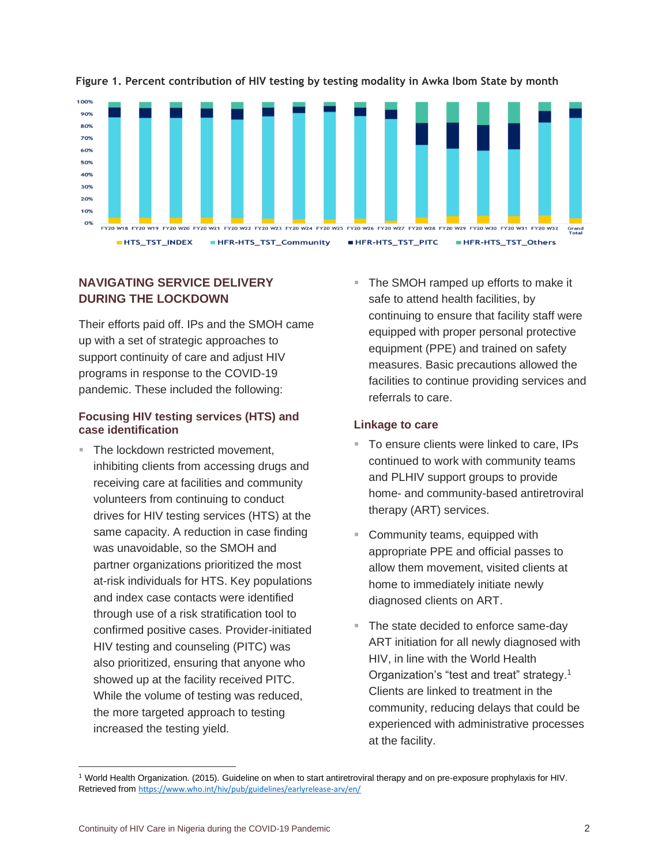

# **Figure 1. Percent contribution of HIV testing by testing modality in Awka Ibom State by month**

# **NAVIGATING SERVICE DELIVERY DURING THE LOCKDOWN**

Their efforts paid off. IPs and the SMOH came up with a set of strategic approaches to support continuity of care and adjust HIV programs in response to the COVID-19 pandemic. These included the following:

## **Focusing HIV testing services (HTS) and case identification**

- The lockdown restricted movement. inhibiting clients from accessing drugs and receiving care at facilities and community volunteers from continuing to conduct drives for HIV testing services (HTS) at the same capacity. A reduction in case finding was unavoidable, so the SMOH and partner organizations prioritized the most at-risk individuals for HTS. Key populations and index case contacts were identified through use of a risk stratification tool to confirmed positive cases. Provider-initiated HIV testing and counseling (PITC) was also prioritized, ensuring that anyone who showed up at the facility received PITC. While the volume of testing was reduced, the more targeted approach to testing increased the testing yield.
- The SMOH ramped up efforts to make it safe to attend health facilities, by continuing to ensure that facility staff were equipped with proper personal protective equipment (PPE) and trained on safety measures. Basic precautions allowed the facilities to continue providing services and referrals to care.

# **Linkage to care**

- To ensure clients were linked to care, IPs continued to work with community teams and PLHIV support groups to provide home- and community-based antiretroviral therapy (ART) services.
- Community teams, equipped with appropriate PPE and official passes to allow them movement, visited clients at home to immediately initiate newly diagnosed clients on ART.
- The state decided to enforce same-day ART initiation for all newly diagnosed with HIV, in line with the World Health Organization's "test and treat" strategy.<sup>1</sup> Clients are linked to treatment in the community, reducing delays that could be experienced with administrative processes at the facility.

<sup>1</sup> World Health Organization. (2015). Guideline on when to start antiretroviral therapy and on pre-exposure prophylaxis for HIV. Retrieved from <https://www.who.int/hiv/pub/guidelines/earlyrelease-arv/en/>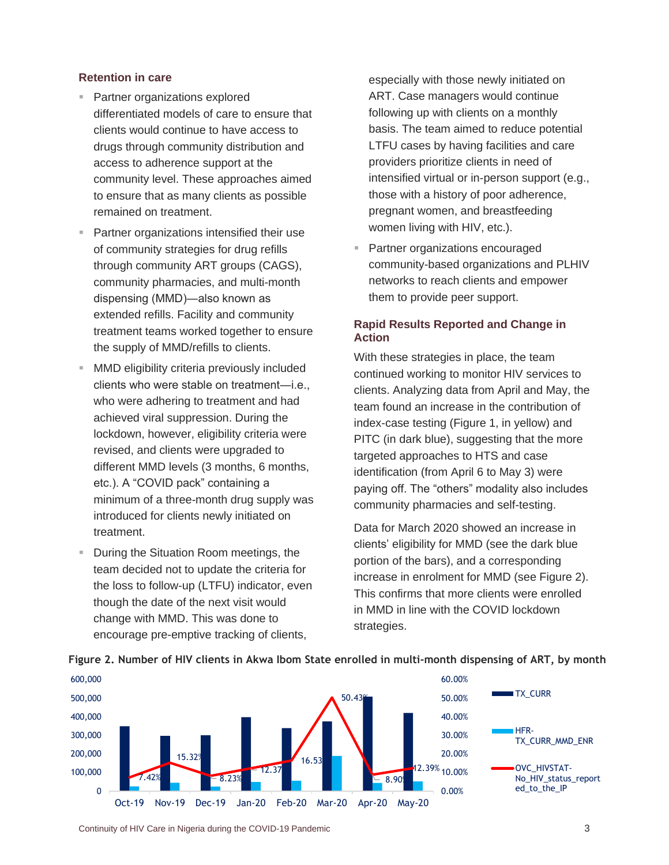#### **Retention in care**

- Partner organizations explored differentiated models of care to ensure that clients would continue to have access to drugs through community distribution and access to adherence support at the community level. These approaches aimed to ensure that as many clients as possible remained on treatment.
- Partner organizations intensified their use of community strategies for drug refills through community ART groups (CAGS), community pharmacies, and multi-month dispensing (MMD)―also known as extended refills. Facility and community treatment teams worked together to ensure the supply of MMD/refills to clients.
- **E** MMD eligibility criteria previously included clients who were stable on treatment―i.e., who were adhering to treatment and had achieved viral suppression. During the lockdown, however, eligibility criteria were revised, and clients were upgraded to different MMD levels (3 months, 6 months, etc.). A "COVID pack" containing a minimum of a three-month drug supply was introduced for clients newly initiated on treatment.
- During the Situation Room meetings, the team decided not to update the criteria for the loss to follow-up (LTFU) indicator, even though the date of the next visit would change with MMD. This was done to encourage pre-emptive tracking of clients,

especially with those newly initiated on ART. Case managers would continue following up with clients on a monthly basis. The team aimed to reduce potential LTFU cases by having facilities and care providers prioritize clients in need of intensified virtual or in-person support (e.g., those with a history of poor adherence, pregnant women, and breastfeeding women living with HIV, etc.).

Partner organizations encouraged community-based organizations and PLHIV networks to reach clients and empower them to provide peer support.

# **Rapid Results Reported and Change in Action**

With these strategies in place, the team continued working to monitor HIV services to clients. Analyzing data from April and May, the team found an increase in the contribution of index-case testing (Figure 1, in yellow) and PITC (in dark blue), suggesting that the more targeted approaches to HTS and case identification (from April 6 to May 3) were paying off. The "others" modality also includes community pharmacies and self-testing.

Data for March 2020 showed an increase in clients' eligibility for MMD (see the dark blue portion of the bars), and a corresponding increase in enrolment for MMD (see Figure 2). This confirms that more clients were enrolled in MMD in line with the COVID lockdown strategies.





Continuity of HIV Care in Nigeria during the COVID-19 Pandemic 3